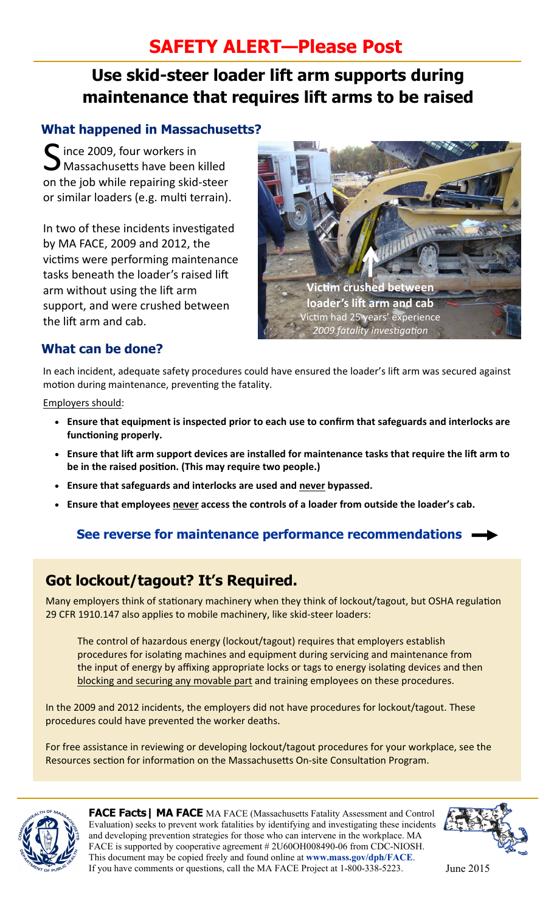# **SAFETY ALERT—Please Post**

# **Use skid-steer loader lift arm supports during maintenance that requires lift arms to be raised**

### **What happened in Massachusetts?**

 $\Gamma$  ince 2009, four workers in **Massachusetts have been killed** on the job while repairing skid-steer or similar loaders (e.g. multi terrain).

In two of these incidents investigated by MA FACE, 2009 and 2012, the victims were performing maintenance tasks beneath the loader's raised lift arm without using the lift arm support, and were crushed between the lift arm and cab.



## **What can be done?**

In each incident, adequate safety procedures could have ensured the loader's lift arm was secured against motion during maintenance, preventing the fatality.

Employers should:

- **Ensure that equipment is inspected prior to each use to confirm that safeguards and interlocks are funcƟoning properly.**
- Ensure that lift arm support devices are installed for maintenance tasks that require the lift arm to be in the raised position. (This may require two people.)
- **Ensure that safeguards and interlocks are used and never bypassed.**
- **Ensure that employees never access the controls of a loader from outside the loader's cab.**

## **See reverse for maintenance performance recommendations**

# **Got lockout/tagout? It's Required.**

Many employers think of stationary machinery when they think of lockout/tagout, but OSHA regulation 29 CFR 1910.147 also applies to mobile machinery, like skid-steer loaders:

The control of hazardous energy (lockout/tagout) requires that employers establish procedures for isolating machines and equipment during servicing and maintenance from the input of energy by affixing appropriate locks or tags to energy isolating devices and then blocking and securing any movable part and training employees on these procedures.

In the 2009 and 2012 incidents, the employers did not have procedures for lockout/tagout. These procedures could have prevented the worker deaths.

For free assistance in reviewing or developing lockout/tagout procedures for your workplace, see the Resources section for information on the Massachusetts On-site Consultation Program.



**FACE Facts| MA FACE** MA FACE (Massachusetts Fatality Assessment and Control Evaluation) seeks to prevent work fatalities by identifying and investigating these incidents and developing prevention strategies for those who can intervene in the workplace. MA FACE is supported by cooperative agreement # 2U60OH008490-06 from CDC-NIOSH. This document may be copied freely and found online at **www.mass.gov/dph/FACE**. If you have comments or questions, call the MA FACE Project at 1-800-338-5223. June 2015